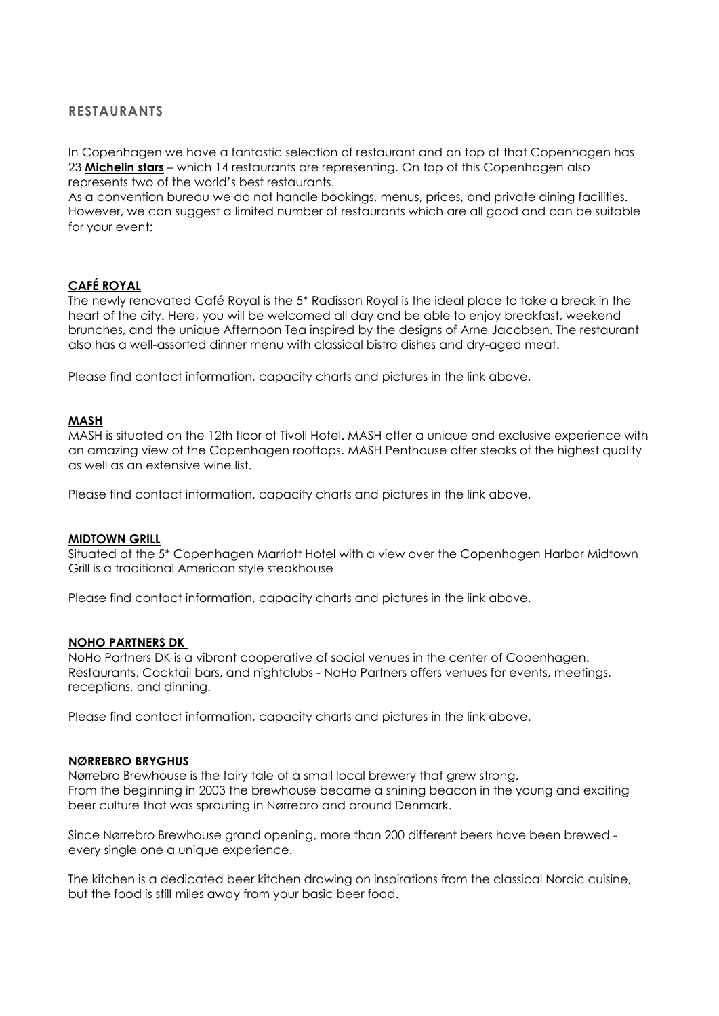# **RESTAURANTS**

In Copenhagen we have a fantastic selection of restaurant and on top of that Copenhagen has 23 **[Michelin stars](https://www.visitcopenhagen.com/copenhagen/eat-drink/michelin-starred-restaurants)** – which 14 restaurants are representing. On top of this Copenhagen also represents two of the world's best restaurants.

As a convention bureau we do not handle bookings, menus, prices, and private dining facilities. However, we can suggest a limited number of restaurants which are all good and can be suitable for your event:

# **[CAFÉ ROYAL](https://caferoyalcopenhagen.com/)**

The newly renovated Café Royal is the 5\* Radisson Royal is the ideal place to take a break in the heart of the city. Here, you will be welcomed all day and be able to enjoy breakfast, weekend brunches, and the unique Afternoon Tea inspired by the designs of Arne Jacobsen. The restaurant also has a well-assorted dinner menu with classical bistro dishes and dry-aged meat.

Please find contact information, capacity charts and pictures in the link above.

# **[MASH](https://www.mashsteak.dk/restauranter-en-gb/show/mash-penthouse)**

MASH is situated on the 12th floor of Tivoli Hotel. MASH offer a unique and exclusive experience with an amazing view of the Copenhagen rooftops. MASH Penthouse offer steaks of the highest quality as well as an extensive wine list.

Please find contact information, capacity charts and pictures in the link above.

### **[MIDTOWN GRILL](https://www.marriott.com/hotels/hotel-information/restaurant/cphdk-copenhagen-marriott-hotel/)**

Situated at the 5\* Copenhagen Marriott Hotel with a view over the Copenhagen Harbor Midtown Grill is a traditional American style steakhouse

Please find contact information, capacity charts and pictures in the link above.

### **[NOHO PARTNERS DK](https://meetingplannerguide.com/venues/noho-partners-denmark)**

NoHo Partners DK is a vibrant cooperative of social venues in the center of Copenhagen. Restaurants, Cocktail bars, and nightclubs - NoHo Partners offers venues for events, meetings, receptions, and dinning.

Please find contact information, capacity charts and pictures in the link above.

### **[NØRREBRO BRYGHUS](http://www.meetingplannerguide.com/#/product/n%C3%B8rrebro-brewhouse2967)**

Nørrebro Brewhouse is the fairy tale of a small local brewery that grew strong. From the beginning in 2003 the brewhouse became a shining beacon in the young and exciting beer culture that was sprouting in Nørrebro and around Denmark.

Since Nørrebro Brewhouse grand opening, more than 200 different beers have been brewed every single one a unique experience.

The kitchen is a dedicated beer kitchen drawing on inspirations from the classical Nordic cuisine, but the food is still miles away from your basic beer food.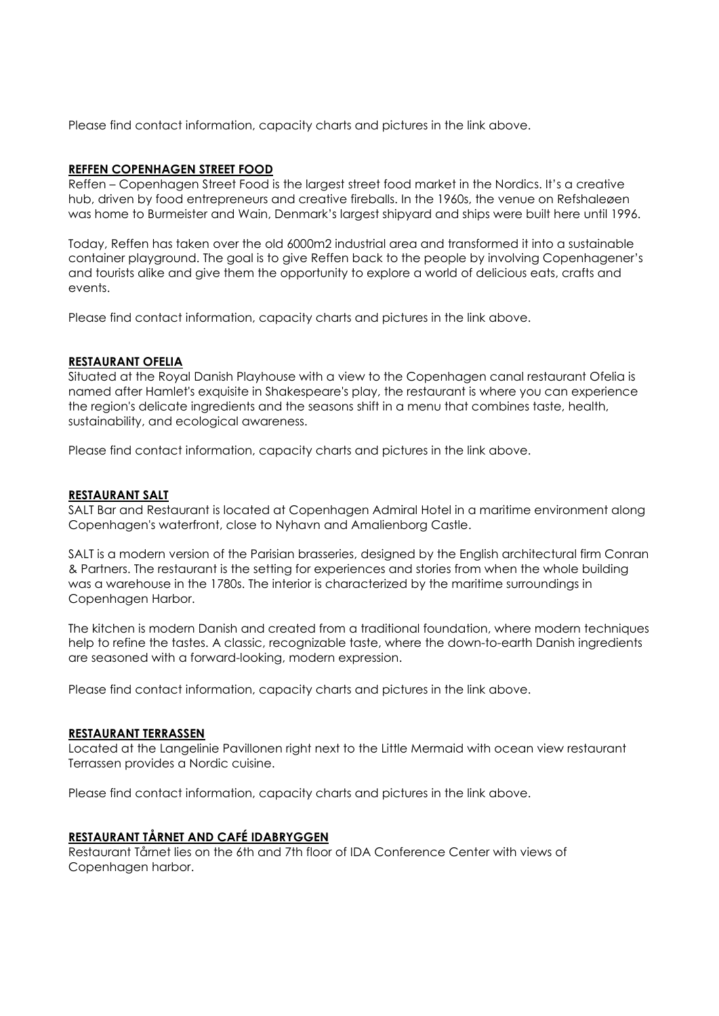Please find contact information, capacity charts and pictures in the link above.

# **[REFFEN COPENHAGEN STREET FOOD](https://meetingplannerguide.com/venues/reffen-copenhagen-street-food)**

Reffen – Copenhagen Street Food is the largest street food market in the Nordics. It's a creative hub, driven by food entrepreneurs and creative fireballs. In the 1960s, the venue on Refshaleøen was home to Burmeister and Wain, Denmark's largest shipyard and ships were built here until 1996.

Today, Reffen has taken over the old 6000m2 industrial area and transformed it into a sustainable container playground. The goal is to give Reffen back to the people by involving Copenhagener's and tourists alike and give them the opportunity to explore a world of delicious eats, crafts and events.

Please find contact information, capacity charts and pictures in the link above.

# **[RESTAURANT OFELIA](http://www.meetingplannerguide.com/#/product/the-royal-danish-playhouse3717)**

Situated at the Royal Danish Playhouse with a view to the Copenhagen canal restaurant Ofelia is named after Hamlet's exquisite in Shakespeare's play, the restaurant is where you can experience the region's delicate ingredients and the seasons shift in a menu that combines taste, health, sustainability, and ecological awareness.

Please find contact information, capacity charts and pictures in the link above.

# **[RESTAURANT SALT](https://saltrestaurant.dk/en/)**

SALT Bar and Restaurant is located at Copenhagen Admiral Hotel in a maritime environment along Copenhagen's waterfront, close to Nyhavn and Amalienborg Castle.

SALT is a modern version of the Parisian brasseries, designed by the English architectural firm Conran & Partners. The restaurant is the setting for experiences and stories from when the whole building was a warehouse in the 1780s. The interior is characterized by the maritime surroundings in Copenhagen Harbor.

The kitchen is modern Danish and created from a traditional foundation, where modern techniques help to refine the tastes. A classic, recognizable taste, where the down-to-earth Danish ingredients are seasoned with a forward-looking, modern expression.

Please find contact information, capacity charts and pictures in the link above.

# **[RESTAURANT TERRASSEN](http://www.meetingplannerguide.com/#/product/langelinie-pavillonen2915)**

Located at the Langelinie Pavillonen right next to the Little Mermaid with ocean view restaurant Terrassen provides a Nordic cuisine.

Please find contact information, capacity charts and pictures in the link above.

# **[RESTAURANT TÅRNET AND CAFÉ IDABRYGGEN](http://www.meetingplannerguide.com/#/product/ida-conference-center2807)**

Restaurant Tårnet lies on the 6th and 7th floor of IDA Conference Center with views of Copenhagen harbor.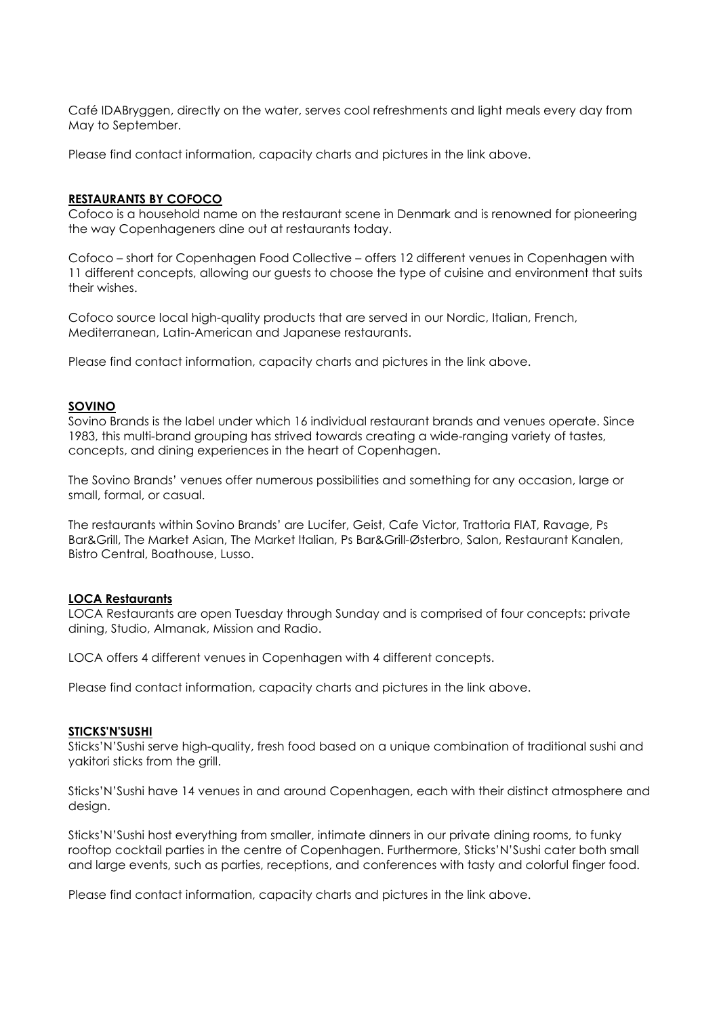Café IDABryggen, directly on the water, serves cool refreshments and light meals every day from May to September.

Please find contact information, capacity charts and pictures in the link above.

## **[RESTAURANTS BY COFOCO](https://meetingplannerguide.com/venues/restaurants-by-cofoco)**

Cofoco is a household name on the restaurant scene in Denmark and is renowned for pioneering the way Copenhageners dine out at restaurants today.

Cofoco – short for Copenhagen Food Collective – offers 12 different venues in Copenhagen with 11 different concepts, allowing our guests to choose the type of cuisine and environment that suits their wishes.

Cofoco source local high-quality products that are served in our Nordic, Italian, French, Mediterranean, Latin-American and Japanese restaurants.

Please find contact information, capacity charts and pictures in the link above.

## **[SOVINO](https://sovinobrands.dk/)**

Sovino Brands is the label under which 16 individual restaurant brands and venues operate. Since 1983, this multi-brand grouping has strived towards creating a wide-ranging variety of tastes, concepts, and dining experiences in the heart of Copenhagen.

The Sovino Brands' venues offer numerous possibilities and something for any occasion, large or small, formal, or casual.

The restaurants within Sovino Brands' are Lucifer, Geist, Cafe Victor, Trattoria FIAT, Ravage, Ps Bar&Grill, The Market Asian, The Market Italian, Ps Bar&Grill-Østerbro, Salon, Restaurant Kanalen, Bistro Central, Boathouse, Lusso.

# **[LOCA Restaurants](https://locarestauranter.dk/en/)**

LOCA Restaurants are open Tuesday through Sunday and is comprised of four concepts: private dining, Studio, Almanak, Mission and Radio.

LOCA offers 4 different venues in Copenhagen with 4 different concepts.

Please find contact information, capacity charts and pictures in the link above.

### **[STICKS'N'SUSHI](https://meetingplannerguide.com/venues/sticksnsushi)**

Sticks'N'Sushi serve high-quality, fresh food based on a unique combination of traditional sushi and yakitori sticks from the grill.

Sticks'N'Sushi have 14 venues in and around Copenhagen, each with their distinct atmosphere and design.

Sticks'N'Sushi host everything from smaller, intimate dinners in our private dining rooms, to funky rooftop cocktail parties in the centre of Copenhagen. Furthermore, Sticks'N'Sushi cater both small and large events, such as parties, receptions, and conferences with tasty and colorful finger food.

Please find contact information, capacity charts and pictures in the link above.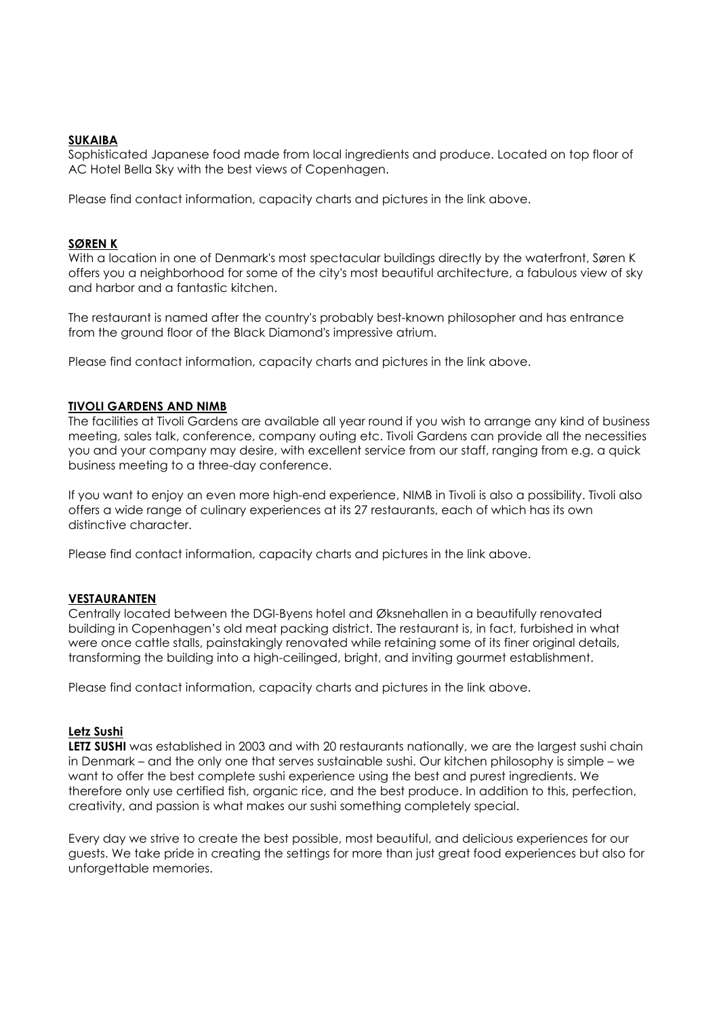# **[SUKAIBA](http://sukaiba.dk/)**

Sophisticated Japanese food made from local ingredients and produce. Located on top floor of AC Hotel Bella Sky with the best views of Copenhagen.

Please find contact information, capacity charts and pictures in the link above.

## **[SØREN K](http://www.meetingplannerguide.com/#/product/royal-danish-library---the-black-diamond2875)**

With a location in one of Denmark's most spectacular buildings directly by the waterfront, Søren K offers you a neighborhood for some of the city's most beautiful architecture, a fabulous view of sky and harbor and a fantastic kitchen.

The restaurant is named after the country's probably best-known philosopher and has entrance from the ground floor of the Black Diamond's impressive atrium.

Please find contact information, capacity charts and pictures in the link above.

### **[TIVOLI GARDENS AND NIMB](http://www.meetingplannerguide.com/#/product/tivoli-gardens3657)**

The facilities at Tivoli Gardens are available all year round if you wish to arrange any kind of business meeting, sales talk, conference, company outing etc. Tivoli Gardens can provide all the necessities you and your company may desire, with excellent service from our staff, ranging from e.g. a quick business meeting to a three-day conference.

If you want to enjoy an even more high-end experience, NIMB in Tivoli is also a possibility. Tivoli also offers a wide range of culinary experiences at its 27 restaurants, each of which has its own distinctive character.

Please find contact information, capacity charts and pictures in the link above.

### **[VESTAURANTEN](https://www.dgi-byen.com/restaurant/)**

Centrally located between the DGI-Byens hotel and Øksnehallen in a beautifully renovated building in Copenhagen's old meat packing district. The restaurant is, in fact, furbished in what were once cattle stalls, painstakingly renovated while retaining some of its finer original details, transforming the building into a high-ceilinged, bright, and inviting gourmet establishment.

Please find contact information, capacity charts and pictures in the link above.

### **[Letz Sushi](https://letzsushi.dk/)**

LETZ SUSHI was established in 2003 and with 20 restaurants nationally, we are the largest sushi chain in Denmark – and the only one that serves sustainable sushi. Our kitchen philosophy is simple – we want to offer the best complete sushi experience using the best and purest ingredients. We therefore only use certified fish, organic rice, and the best produce. In addition to this, perfection, creativity, and passion is what makes our sushi something completely special.

Every day we strive to create the best possible, most beautiful, and delicious experiences for our guests. We take pride in creating the settings for more than just great food experiences but also for unforgettable memories.